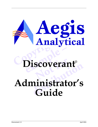

# **example 18** Discoverant®

# **discoverant,<br>
anistrator's<br>
Guide Administrator's Guide**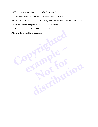© 2001, Aegis Analytical Corporation. All rights reserved.

Discoverant is a registered trademark of Aegis Analytical Corporation.

Microsoft, Windows, and Windows NT are registered trademarks of Microsoft Corporation.

**PianPie** 

**Not for**

**Kar Portion** 

Enterworks Content Integrator is a trademark of Enterworks, Inc.

Oracle databases are products of Oracle Corporation.

Finited in the United States of America. Printed in the United States of America.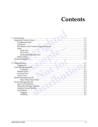## **Contents**

| Connector |         |
|-----------|---------|
|           |         |
|           |         |
|           |         |
|           |         |
|           |         |
|           |         |
|           |         |
|           |         |
|           |         |
|           |         |
|           | $-2-1$  |
| Functions | $2 - 1$ |
|           |         |
|           |         |
|           |         |
|           |         |
|           |         |
|           |         |
|           |         |
|           |         |
|           |         |
|           |         |
|           |         |
|           |         |
|           |         |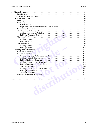| distri |  |
|--------|--|
|        |  |
|        |  |
|        |  |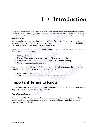# <span id="page-4-9"></span><span id="page-4-8"></span><span id="page-4-7"></span><span id="page-4-6"></span><span id="page-4-4"></span>**1 • Introduction**

<span id="page-4-13"></span><span id="page-4-0"></span>or specific information on the general features, conventions and naviga<br>ser interface, see Chapter 1, *Introduction*, of the *Discoverant User Guide. F*<br>*Seer Guide* for information on the more common tasks users will perf For specific information on the general features, conventions and navigation of Discoverant's user interface, see Chapter 1, *Introduction*, of the *Discoverant User Guide*. Also see the *Discoverant User Guide* for information on the more common tasks users will perform and on Discoverant's functional areas.

<span id="page-4-11"></span>Discoverant has two restricted domains from which software administrators can manage and customize the software. Both these domains require special permission to use and should be used only by trained Discoverant system administrators.

<span id="page-4-12"></span>ators will use the "Administration" domain to maintai<br>omain, you can:<br>sers.<br>sers.<br>iscoverant system settings while Discoverant is runnir<br>refresh various types of pools while Discoverant is run<br>ogging or auditing reports.<br>a System administrators will use the "Administration" domain to maintain the software. In the Administration domain, you can:

- Manage users.
- Manage Discoverant system settings while Discoverant is running.
- Reload or refresh various types of pools while Discoverant is running.
- <span id="page-4-10"></span>• Generate logging or auditing reports.

bus types of pools while Discoverant is runn<br>aditing reports.<br>e the "Hierarchy Admin" domain to maintarchy Admin domain, you can:<br>chies.<br>iews, and parameters within hierarchies. System administrators will use the "Hierarchy Admin" domain to maintain the hierarchies available to users. In the Hierarchy Admin domain, you can:

- Create and edit hierarchies.
- Add and edit nodes, views, and parameters within hierarchies.

### <span id="page-4-3"></span><span id="page-4-1"></span>**Important Terms to Know**

Experience the "Hierarchy Admin" domain to maintain the hierarchies<br>Hierarchy Admin domain, you can:<br>erarchies.<br>**EXPINS 10 KNOW**<br>rms that you may or may not be familiar with. These terms are used<br>bbably already know well. Discoverant uses some terms that you may or may not be familiar with. These terms are used to simplify concepts you probably already know well.

#### <span id="page-4-5"></span><span id="page-4-2"></span>*Conditional Node*

Every node and "leaf" organized underneath a conditional node carries the same database restrictions. Examples of this are conditional nodes restricted to raw materials, products, processes, machine IDs, etc.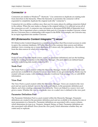#### <span id="page-5-3"></span><span id="page-5-0"></span>*Connector*

Connectors are similar to Windows® "shortcuts." Use connectors to duplicate an existing node from elsewhere in the hierarchy. When the hierarchy is promoted, the connector will be expanded to completely duplicate the original node (the "connectee").

Connectors let you define a subtree once, then use it in many places by adding connectors linked to the subtree. When the user makes a change to the original subtree, it is reflected across all of the connectors as well. A connector may increment or decrement BOM (Bill of Materials) level numbers. This is important when a connector links part of a Universe to another Universe, where the two Universes have a relationship with respect to the BOM. For example, one Universe may be an input ingredient into another Universe.

#### <span id="page-5-4"></span><span id="page-5-1"></span>*ECI (Enterworks Content Integrator™) server*

umbers. This is important when a connector links part of a Universe to a<br>e two Universes have a relationship with respect to the BOM. For exam<br>e an input ingredient into another Universe.<br>**ECI (Enterworks Content Integrato** ECI (Enterworks Content Integrator) is a middleware product that Discoverant accesses in order to query the customer databases. ECI talks directly to the customer data sources and defines database views crossing one or more databases. ECI stores only the metadata (i.e., the schema) from the data sources to which it is connecting.

#### <span id="page-5-7"></span><span id="page-5-2"></span>*Pools*

Figure 1 and the Hierarchy Manager. Nodes a<br>apple to which it is connecting.<br>**eusable objects (views, nodes, or parameter definitions**<br>g hierarchies in the Hierarchy Manager. The pool objecting data model created in ECI.<br>a Pools are sets of reusable objects (views, nodes, or parameter definitions) and are the building blocks for creating hierarchies in the Hierarchy Manager. The pool objects are defined based upon the underlying data model created in ECI.

#### <span id="page-5-5"></span>**Node Pool**

in the Hierarchy Manager. The pool objects<br>del created in ECI.<br>ed within the Hierarchy Manager. Nodes are<br>tached to one or more nodes in any given hie<br>conditions (see also *Conditional Node* on pag reated within the Hierarchy Manager. Nodes are defined in the node attached to one or more nodes in any given hierarchy. Nodes may with conditions (see also *Conditional Node* on page 1-1), or with BON with conditions (see The Node Pool is a pool created within the Hierarchy Manager. Nodes are defined in the node pool and are available to be attached to one or more nodes in any given hierarchy. Nodes may be created with just a name, with conditions (see also *Conditional Node* on page 1-1), or with BOM information.

#### <span id="page-5-8"></span>**View Pool**

<span id="page-5-9"></span>The View Pool is a pool created within the Hierarchy Manager. Views are created in the view pool and are used as default views in the node pool objects, in the parameter definition pool objects, and when creating a parameter in a hierarchy. Views are linked to a source view and given a name. Whether the view is a replicate view or a coded view is defined in the view pool.

#### <span id="page-5-6"></span>**Parameter Definition Pool**

The Parameter Definition Pool is a pool created within the Hierarchy Manager. Parameter definitions are created in the parameter definition pool and are available to be attached to one or more parameters in a hierarchy. Parameter definitions are associated with a source column, which determines its type (e.g., Numeric, Integral, String, or Date). Parameter definitions are also associated with default views (from the view pool), which determine whether they are coded and/or replicate.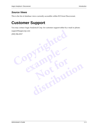#### <span id="page-6-4"></span><span id="page-6-0"></span>*Source Views*

<span id="page-6-3"></span>This is the list of database views currently accessible within ECI from Discoverant.

## <span id="page-6-1"></span>**Customer Support**

You may contact Aegis Analytical Corp. for customer support either by e-mail or phone:

**PianPie** 

**Not for**

**Kar Portion** 

<span id="page-6-2"></span>EPOTE AFFECTS support@aegiscorp.com (303) 926-0317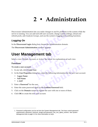## <span id="page-7-3"></span>**2 • Administration**

<span id="page-7-0"></span>Discoverant Administration lets you make changes to and fix problems in the priority is running. You can add and edit user accounts, change system set of resh pools, add Analysis Groups, and use the system's logging and an Discoverant Administration lets you make changes to and fix problems in the system while the server is running. You can add and edit user accounts, change system settings, reload and refresh pools, add Analysis Groups, and use the system's logging and auditing functions.

#### <span id="page-7-7"></span><span id="page-7-1"></span>*Logging On*

In the **Discoverant Login** dialog box, choose the Administration domain.

The **Discoverant Administration** window appears.

# <span id="page-7-11"></span><span id="page-7-2"></span>Administration window appears.<br> **analytical Contract Contract Contract Contract Contract Contract Contract Contract Contract Contract Contract Contract Contract Contract Contract Contract Contract Contract Contract Contrac User Management tab**

Select a view: Default, Account, or Active. See below for explanations of each view.

#### **Functions**

<span id="page-7-4"></span>**To create a user account:**

- <span id="page-7-9"></span>1. In any tab, click **Create User**.
- **Notify the See below for explanations of each of the See below for explanations of each of the set of the following information for distribution**<br>**distribution**<br>**distribution**<br>**distribution**<br>**distribution**<br>**distribution**<br>**distribution**<br>**distribution**<br>**distribution**<br>**distribution**<br>**distribution**<br>**distribution**<br>**distribution**<br>**distribution**<br>**distributio** 2. In the **User Properties** dialog box, enter the following information for the new user account:
	- **Logon Name**
	- **Full Name**
	- **e\_mail**
- <span id="page-7-10"></span><span id="page-7-8"></span><span id="page-7-6"></span>3. Enter a **Password**<sup>1</sup> for the user.
- 4. Enter the same password again in the **Confirm Password** field.
- <span id="page-7-5"></span>5. Click on the **Domain** names to register the user with one or more of them.
- 6. Click **OK** to create the new user account.

<sup>1.</sup> Password configuration can be set from the System Management tab. Two keys control password requirements: password\_minimum\_length and password\_use\_non\_alpha\_numeric. See *[System](#page-9-0)  [Management tab](#page-9-0)* on page 2-3 for more information on keys.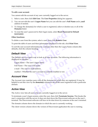#### <span id="page-8-6"></span>**To edit a user account:**

You cannot edit the account of any user currently logged on to the server.

- 1. Select a user, then click **Edit User**. The **User Properties** dialog box appears.
- <span id="page-8-14"></span><span id="page-8-13"></span><span id="page-8-7"></span>2. You can not edit the user's **Logon Name** but you can edit the user's **Full Name** and **e\_mail** address if needed.
- <span id="page-8-5"></span>3. To change the domain(s) for which a user is registered, select or deselect any or all of the **Domains** listed.
- 4. To reset the user's password to their logon name, select **Reset Password to Default (username)**.

#### **Other functions:**

<span id="page-8-3"></span>To delete a user from the system, select a user, then click **Remove User**.

<span id="page-8-11"></span>To print the table of users and their information displayed in the tab, click **Print View**.

<span id="page-8-10"></span>Commiss issect.<br>
To reset the user's password to their logon name, select **Reset Password**<br> **Consumer (username).**<br>
O delete a user from the system, select a user, then click **Remove User**.<br>
o print the table of users and To sort the user account information by a column other then the Logon Name column (the default), click the column heading.

#### <span id="page-8-0"></span>*Default View*

**example definition by a continuity of the first the Eogon is column heading.**<br> **example 4**<br> **example 4**<br> **example 4**<br> **example 4**<br> **example 4**<br> **example 4**<br> **example 4**<br> **example 4**<br> **example 4**<br> **example 4**<br> **example 4**<br> logon name.<br>
Il name.<br>
address.<br>
er's account is currently enabled or not. The Default view is a quick way to look at all user accounts. The following information is displayed in columns:

<span id="page-8-9"></span>Logon Name—The user's logon name.

<span id="page-8-8"></span>Full Name—The user's full name.

e-mail—The user's e-mail address.

<span id="page-8-4"></span>enabled—Whether the user's account is currently enabled or not.

#### <span id="page-8-1"></span>*Account View*

<sup>2</sup> s full name.<br>
mail address.<br>
e user's account is currently enabled or not.<br>
es users with all the domains for which they are registered. It may be y the **domain(s)** column to see all the users registered with a particu The Account view matches users with all the domains for which they are registered. It may be helpful to sort this view by the **domain(s)** column to see all the users registered with a particular domain.

#### <span id="page-8-2"></span>*Active View*

The Active view lists all users who are currently logged on to the server.

<span id="page-8-12"></span>To terminate a user's logon session, select the user, then click **Terminate Session**. This breaks the user's connection with the server; it does not shut down the Discoverant software on the user's terminal. The Discoverant software will have to be shut down by someone at the user's terminal.

The domain column shows the domain in which the user is currently working.

The client version column shows the version of Discoverant application the user is running.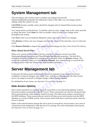### <span id="page-9-10"></span><span id="page-9-0"></span>**System Management tab**

<span id="page-9-11"></span>This tab displays the current system variables and settings from the file DeploymentBundle.properties. By editing the Values in the table, you can change system settings while the system is in use.

**CAUTION:** System variable values should be changed only by trained Discoverant system administrators.

You cannot add to or edit the Keys. To edit the value for a key, simply click on the value and edit or retype the entry. Press **Enter** (or click on another value) to make your change active throughout the system.

Click **Save** when you are finished editing the values and want to save your changes.

Click **Restore** to throw out your changes and reset the values to the state they were in when last saved.

Click **Restore Defaults** to import the original default settings (see *[More About Saved Files](#page-9-1)* below).

#### <span id="page-9-6"></span><span id="page-9-5"></span><span id="page-9-1"></span>**More About Saved Files**

<span id="page-9-7"></span>Fou cannot add to or edit the Keys. To edit the value for a key, simply clipt retype the entry. Press **Enter** (or click on another value) to make your troughout the system.<br>Lick **Save** when you are finished editing the val aved Files<br>
m is first installed, the keys and their values are saved ille.<br>
properties and DefaultDeploymentBundle.properties<br>
aded when you click Restore Defaults. You cannot cha<br>
within the Discoverant Administration wi When your system is first installed, the keys and their values are saved in two files: DeploymentBundle.properties and DefaultDeploymentBundle.properties. The first file is recreated each time you **Save** your settings and is reloaded when you **Restore** settings. The second file is reloaded when you click **Restore Defaults**. You cannot change or overwrite the second file from within the Discoverant Administration window.

### <span id="page-9-2"></span>**Server Management tab**

your settings and is reloaded when you **Res**<br>rou click Restore Defaults. You cannot chan<br>scoverant Administration window.<br>**CHEMENT TAD**<br>rver would have to be restarted if any number were made. Now, with Server Managemen<br>r In the past, the Discoverant server would have to be restarted if any number of external conditions or internal changes were made. Now, with Server Management, the Discoverant server can adapt to external or internal changes without being restarted.

For definitions of new terms, see *Important Terms to Know* on page 1-1.

#### <span id="page-9-8"></span><span id="page-9-4"></span><span id="page-9-3"></span>*Data Access Options*

<span id="page-9-9"></span>**discrete the EX and SOC entired is the CI server would have to be restarted if any number of external mages were made. Now, with Server Management, the Discoverant all or internal changes without being restarted.<br>The set** Discoverant maintains two separate pools of connections to its underlying database systems. One pool contains connections to the ECI server. These connections are used for all queries that Discoverant performs while creating Analysis Groups. The other pool contains connections to the MDE database. Those connections are used for all data access and insertion into the MDE database as a result of MDE activity. Discoverant creates both these connection pools when the server is started.

Either of the refresh buttons dumps the active pool of connections, and recreates a new pool of connections to the database(s) while the server is running. (For more information about pools, see *[Important Terms to Know](#page-4-3)* on page 1-1.)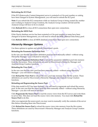#### <span id="page-10-4"></span><span id="page-10-1"></span>**Refreshing the ECI Pool:**

<span id="page-10-3"></span>If the ECI (Enterworks Content Integrator) server is restarted or if its port number or catalog have been changed in System Management, you will need to refresh the ECI pool.

**Note:** If you refresh the ECI connections while an Analysis Group is being created (by another user working in Analysis Group Creation), the Analysis Group creation will fail and the Analysis Group will have to be re-created.

Click **Refresh ECI** to close all ECI connections then open new connections.

#### **Refreshing the MDE Pool:**

<span id="page-10-10"></span>If the Oracle database service has been restarted or if its port number or name have been changed in System Management, you will need to refresh the MDE (Manual Data Entry) pool.

Click **Refresh MDE** to close all MDE database connections then open new connections.

#### <span id="page-10-6"></span><span id="page-10-0"></span>*Hierarchy Manager Options*

Use these options to update and refresh Discoverant's pools.

#### <span id="page-10-5"></span>**Reloading the Parameter Definition Pool:**

In the rare case that the parameter definition pool has been manually edited—without using Hierarchy Manager—you will need to reload it.

<span id="page-10-9"></span><span id="page-10-2"></span>**Example 18 ADE Pool:**<br>
Fourthermore in System Management, you will need to refresh the MDE (Markindred in System Management, you will need to refresh the MDE (Markindred in System MDE to close all MDE database connections to update and refresh Discoverant's pools.<br> **rameter Definition Pool:**<br>
aat the parameter definition pool has been manually ed<br>
er—you will need to reload it.<br> **ameter Definition Pool** to reload the parameter definition.<br> **Notion Pool** to reload the parameter definitiof<br>initions are used by Discoverant's Hierarch<br>tions.<br>pool has been manually edited – without usi<br>load it.<br>preload the view pool into memory from the<br>verant's Hierarchy Manager Click **Reload Parameter Definition Pool** to reload the parameter definition pool into memory from the file system. These definitions are used by Discoverant's Hierarchy Manager and Analysis Group Creation functions.

#### <span id="page-10-8"></span>**Reloading the View Pool:**

In the rare case that the view pool has been manually edited—without using Hierarchy Manager—you will need to reload it.

Click **Reload the View Pool** to reload the view pool into memory from the file system. These definitions are used by Discoverant's Hierarchy Manager and Analysis Group Creation functions.

#### <span id="page-10-7"></span>**Reloading and Regenerating the Source Pool:**

functions.<br> **i:**<br>
iew pool has been manually edited — without using Hierarchy<br>
to reload it.<br> **ool** to reload the view pool into memory from the file system. These<br>
iscoverant's Hierarchy Manager and Analysis Group Creatio If the data model in ECI has been updated, you will need to regenerate and reload the source pool. In the rare case that the source pool has been manually edited—without using Hierarchy Manager—you also will need to reload it.

<span id="page-10-11"></span>Click **Regenerate the Source Pool** to read the source views from the ECI server and write them to server files. This does not load the source views into memory. You must click **Reload the Source Pool** to do this.

After you regenerate the source pool, you may want to manually verify the contents of the server files before reloading them into Discoverant.

<span id="page-10-12"></span>Click **Reload the Source Pool** to reload the source views into memory from the file system. These definitions are used by Discoverant's Hierarchy Manager and Analysis Group Creation functions.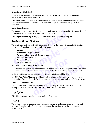#### <span id="page-11-6"></span>**Reloading the Node Pool:**

In the rare case that the node pool has been manually edited—without using Hierarchy Manager—you will need to reload it.

Click **Reload the Node Pool** to reload the node pool into memory from the file system. These definitions are used by Discoverant's Hierarchy Manager and Analysis Group Creation functions.

#### <span id="page-11-5"></span>**Importing a Hierarchy:**

**Compare Strains and Strains and Strains and Strains and Strains and Strains and Strains incredible.<br>
Control is the Hierarchy Manager Import dial<br>
Comparation for help.<br>
<b>Compare Strains and Strains and Strains and Strain** This option is used only during Discoverant installation to import hierarchies. For more detailed information, contact Aegis Analytical Corporation for help.

Click **Import a Hierarchy** to display the Hierarchy Manager Import dialog box.

#### <span id="page-11-3"></span><span id="page-11-0"></span>*Analysis Group Options*

<span id="page-11-4"></span>The manifest is a file that lists all the Analysis Groups in the system. The manifest holds the following information about each Analysis Group:

- **Owner.**
- **Path to the Analysis Group.**
- **Whether it is an Analysis Group or not.**
- **Whether it is shared.**
- **Whether it has been modified.**
- **Whether it is checked out.**

#### **Adding Analysis Groups to the manifest:**

**e Analysis Group.**<br> **e Analysis Group.**<br> **e Analysis Group.**<br> **e Analysis Group.**<br> **e Analysis Group.**<br> **e Analysis Group.**<br> **e Analysis Group or not.**<br> **e t is shared.**<br> **e t is checked out.**<br> **e t is checked** The Analysis Groups you can add to the manifest must reside in the …\depot\AGStore\users\demo directory. You can only add Analysis Groups created in the current version of Discoverant.

- 1. Find the file you want to add and type its name into the **Add File** field.
- **nodified.**<br> **Notified.**<br> **Notified:**<br> **Notified:**<br> **Notified:**<br> **Notified:**<br> **Notified:**<br> **Notified:**<br> **Notified:**<br> **Notified:**<br> **Notified:**<br> **Notified:**<br> **Notified:**<br> **Notified:**<br> **Notified:**<br> **Notified:**<br> **Notified:**<br> **s to the manifest:**<br>
can add to the manifest must reside in the ...\depot\AGStore\users\dedd Analysis Groups created in the current version of Discoverant.<br>
t to add and type its name into the **Add File** field.<br> **infest** 2. Click **Add AG to Manifest** to add the Analysis Group to the system while the server is running. The new Analysis Group is added to the demo account and, by default, is shared.

#### **Clearing the AGStore Attic:**

<span id="page-11-2"></span>The file …\depot\AGStore\attic holds all user-deleted Analysis Groups. These files build up and take up space on the server. Click **Clear AGStore Attic** to delete them.

#### <span id="page-11-8"></span><span id="page-11-1"></span>*Log Options*

Click **View Log** to use the logging and auditing functions.

#### <span id="page-11-7"></span>**Logging**

The system saves messages and errors generated during use. These messages are saved and reported chronologically. Only the current day and the previous seven days' messages and errors are saved.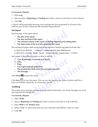#### <span id="page-12-2"></span>**To Generate a Report:**

- 1. Select **Log**.
- 2. Select or enter a **Beginning** and **Ending** date. Enter a time for each date as well, if desired.
- 3. Click **OK**.

A report will be generated showing every message and error generated by all areas of the software and all users within the date and time range selected.

#### *The Report*

The first page of the report shows:

- **The title of the report.**
- **The date and time of the report.**
- **The selection criteria of the report, including beginning and ending dates.**
- **The logon name of the user who generated the report.**

**Compare 12**<br> **Compare 12**<br> **Copyrighted**<br> **Copyrighted**<br> **Copyrighted**<br> **Copyrighted**<br> **Copyrighted**<br> **Copyrighted**<br> **Copyrighted**<br> **Copyrighted**<br> **Copyrighted**<br> **Copyrighted**<br> **Copyrighted**<br> **Copyrighted**<br> **Copyrighted**<br> The subsequent pages make up the log entries reported. Sample log entries look like this:

ages make up the log entries reported. Sample log entropy: 08:53:58 - hierarchy Loading hierarchy: Raw Materials 10:20:00 JSmith service Compute Service : request nan following pieces of data (in order):<br>**example 10:20:00** N 2001-02-19 08:53:58 - hierarchy Loading hierarchy: Raw Materials.dat

```
E 2001-02-19 10:20:00 JSmith service Compute Service : request name = <TTEST>
```
and consist of the following pieces of data (in order):

- **Type of message: N (normal) or E (error).**
- **Date.**
- **Time.**
- **User logon name (if applicable).**
- **normal) or E (error).**<br> **pplicable).**<br> **n** which the message originated.<br>
Prort. **• The product area from which the message originated.**
- <span id="page-12-6"></span><span id="page-12-5"></span><span id="page-12-4"></span><span id="page-12-3"></span>**• The message.**

<span id="page-12-7"></span>Click **Print**  $\bullet$  to print the report.

**(if applicable).**<br> **from which the message originated.**<br>
he report.<br>
<br> **discripted to the report of the state of the control of the control of the state of the state of the state of the state of the state of the state of** Click **Save the report.** You can save the report as an Adobe Acrobat (.pdf) file, a browser-readable (.html) file, or a Postscript (.ps) file.

#### <span id="page-12-0"></span>**Auditing**

The system saves messages generated during Manual Data Entry use. These messages are saved and reported chronologically.

#### <span id="page-12-1"></span>**To Generate a Report:**

- 1. Select **Audit**.
- 2. Select a **Beginning** and **Ending** date. Enter a time for each date as well, if desired.
- 3. Select **MDE** in the **Product Area**.
- 4. Select a **User**. To select more than one user, hold down the **Ctrl** key while you click.
- 5. Click **OK**.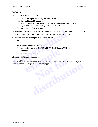#### <span id="page-13-0"></span>*The Report*

The first page of the report shows:

- **The title of the report, including the product area.**
- **The date and time of the report.**
- **The selection criteria of the report, including beginning and ending dates.**
- **The logon name of the user who generated the report.**
- **The users included in the report.**

The subsequent pages make up the audit entries reported. A sample audit entry looks like this:

2001-02-19 08:53:58 JSmith EDIT 6/26 from 15 to 55 Wrong Date Entered

and consists of the following pieces of data (in order):

- **Date.**
- **Time.**
- **User logon name (if applicable).**
- **The task performed in MDE (ADD, EDIT, DELETE, or APPROVE).**
- **The message.**
- <span id="page-13-4"></span><span id="page-13-3"></span><span id="page-13-2"></span><span id="page-13-1"></span>**• Any change reason entered.**

<span id="page-13-5"></span>Click **Print** to print the report.

**Compared A System State State State State State State State State State State State State State State State State State State State State State State State State Consists of the following pieces of data (in order):<br>
• Dat Example 3 example 4 in MDE (ADD, EDIT, DELETE, or APPRO**<br>**age.**<br>**b** print the report. You can save the report as an Adobe 4<br>(.html) file, or a Postscript (.ps) file. oort. You can save the report as an Adobe Ac<br>or a Postscript (.ps) file. File, or a Postscript (.ps) file. Click **Save the same the report.** You can save the report as an Adobe Acrobat (.pdf) file, a browser-readable (.html) file, or a Postscript (.ps) file.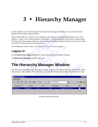# <span id="page-14-0"></span>**3 • Hierarchy Manager**

In this chapter you will learn about the Hierarchy Manager and how to create and maintain hierarchies and their related objects.

The Hierarchy Manager window the Hierarchy Manager and how to c<br>tierarchies and their related objects.<br>Elierarchies help you organize your database information in a useful and<br>bjects—nodes, views and parameter definitions— Hierarchies help you organize your database information in a useful and efficient way. Pool objects—nodes, views and parameter definitions—provide structure for the data referenced by the hierarchy. Parameters reference information in databases and provide the user the raw data to analyze in Discoverant's functional areas.

For definitions of new terms, see *Important Terms to Know* on page 1-1.

#### <span id="page-14-1"></span>*Logging On*

In the **Discoverant Login** dialog box, choose the Hierarchy Admin domain.

The **Hierarchy Manager** window appears.

# <span id="page-14-3"></span>**example 12 Allen Strategy Admin dom**<br> **example – Hierarchy Manager Window**<br> **example – Hierarchy Manager window is always the Hierarchie system. From this tab, you can edit existing hierarchies The Hierarchy Manager Window**

<span id="page-14-5"></span><span id="page-14-2"></span>

| The <b>Incluicity Manager</b> while wapped.                                                                                                                                                          |                        |      |                    |                      |           |
|------------------------------------------------------------------------------------------------------------------------------------------------------------------------------------------------------|------------------------|------|--------------------|----------------------|-----------|
| <b>The Hierarchy Manager Window</b>                                                                                                                                                                  |                        |      |                    |                      |           |
| The first tab in the Hierarchy Manager window is always the Hierarchies tab, which lists all the<br>hierarchies in the system. From this tab, you can edit existing hierarchies and create new ones. |                        |      |                    |                      |           |
| <b>Hierarchy Manager</b>                                                                                                                                                                             |                        |      |                    |                      | – I⊡I×    |
| Hierarchies                                                                                                                                                                                          |                        |      |                    |                      |           |
| V                                                                                                                                                                                                    | $\mathbf{z}$<br>팁<br>탭 | 个    | No Filter Selected |                      | 88<br>B B |
| Hierarchy $\nabla$                                                                                                                                                                                   | <b>Status</b>          | User | Promoted           | Date                 | ⊕         |
| WonderDrug                                                                                                                                                                                           | Checked-in             | Joe  | Yes:               | Mar 27, 2001 17:52:. |           |
|                                                                                                                                                                                                      |                        |      |                    |                      |           |
|                                                                                                                                                                                                      |                        |      |                    |                      |           |

<span id="page-14-4"></span>Example of the Hierarchies tab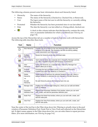The following columns present some basic information about each hierarchy listed:

- Hierarchy The name of the hierarchy.
- Status The status of the hierarchy (Checked-in, Checked-Out, or Removed).
- User The logon name of the last user to edit the hierarchy or currently editing the hierarchy.
- Promoted Whether the hierarchy has been promoted since it was last edited.
- <span id="page-15-1"></span>Date The date the hierarchy was last edited or, if being edited, checked-out.
	- $\bigoplus$  A check in this column indicates that this hierarchy contains the node, view or parameter definition for which you filtered (see *[Filtering](#page-17-0)* on page 3-4).

|                                                           | A check in this column indicates that this hierarchy contains the node<br>view or parameter definition for which you filtered (see Filtering on                                                  |
|-----------------------------------------------------------|--------------------------------------------------------------------------------------------------------------------------------------------------------------------------------------------------|
|                                                           | cross the top of the Hierarchies tab are a number of tools to help you work with hierarchies.                                                                                                    |
| <b>Name</b>                                               | <b>Function</b>                                                                                                                                                                                  |
| New Hierarchy                                             | Prompts you for a name for the new hierarchy, then opens the new<br>hierarchy in its own tab. The hierarchy can then be built by adding<br>nodes, parameters and connectors.                     |
| <b>Rollback</b><br><b>Hierarchy</b>                       | Resets the hierarchy to the last promoted state.                                                                                                                                                 |
| <b>Edit Hierarchy</b>                                     | Opens the hierarchy as a separate tab in Hierarchy Manager and lets<br>you edit it. Enabled only when the hierarchy is Checked-in.                                                               |
| View<br>Hierarchy                                         | Opens the hierarchy as a separate tab in Hierarchy Manager but<br>doesn't allow you to edit it.                                                                                                  |
| Promote<br>Hierarchy                                      | Promotes the last committed version of the selected hierarchy.<br>Enabled only when the hierarchy is Checked-in.                                                                                 |
| <b>Delete</b><br>Hierarchy<br>-or-<br>Re-add<br>Hierarchy | Delete Hierarchy removes the selected hierarchy from use. When a<br>deleted hierarchy is selected, the tool changes to Re-add Hierarchy.<br>Re-add Hierarchy places the hierarchy back into use. |
| Manage Units                                              | Displays the Units Manager dialog box, where you can add and delete<br>units of measure.                                                                                                         |
| Parameter<br><b>Definition Pool</b>                       | Displays the Parameter Definition Pool window, where you can work<br>with, create, and edit the parameter definition pool.                                                                       |
| Node Pool                                                 | Displays the Node Pool window, where you can work with, create, and<br>edit the node pool.                                                                                                       |
| View Pool                                                 | Displays the View Pool window, where you can work with, create, and<br>edit the view pools.                                                                                                      |
|                                                           | page 3-4).<br>he following table describes these tools.<br>Tool<br>$\mathcal{P}^{\mathbf{1}}$                                                                                                    |

<span id="page-15-0"></span>Near the center of the tool bar is the Filter drop-down list. Filtering is actually done in the pool windows (Parameter Definition Pool, Node Pool or View Pool) and reflected on the Hierarchies tab. If object names appear in the Filter drop-down list, you can select them to repeat previous filters. (For more information, see *Filtering* [on page 3-4](#page-17-0).)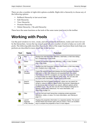There are also a number of right-click options available. Right-click a hierarchy to choose any of the following options:

- Rollback Hierarchy to last saved state
- Edit Hierarchy
- View Hierarchy
- Promote Hierarchy
- <span id="page-16-4"></span><span id="page-16-1"></span>• Delete Hierarchy / Re-add Hierarchy

## <span id="page-16-3"></span><span id="page-16-2"></span><span id="page-16-0"></span>**Working with Pools**

| hese have the same functions as the tools of the same name (and icon) in the toolbar. |             |                                          |                                                                                                                                                                                                                                                                                                                                                                                      |
|---------------------------------------------------------------------------------------|-------------|------------------------------------------|--------------------------------------------------------------------------------------------------------------------------------------------------------------------------------------------------------------------------------------------------------------------------------------------------------------------------------------------------------------------------------------|
|                                                                                       |             |                                          | <b>Norking with Pools</b>                                                                                                                                                                                                                                                                                                                                                            |
|                                                                                       |             |                                          | Ise the pool windows to view, create, and edit parameter definitions, nodes and views for us<br>y the hierarchies. Across the top of each pool tab are a number of tools to help you work wit<br>ools. The following table describes these tools. Most of the major functions these tools help y<br>erform are described in more detail late in this section.                        |
|                                                                                       | <b>Tool</b> | <b>Name</b>                              | <b>Function</b>                                                                                                                                                                                                                                                                                                                                                                      |
|                                                                                       |             | <b>New</b>                               | Displays the Add Parameter Definition, Add Node, or Add View dialog<br>box. Enabled only in Edit mode.                                                                                                                                                                                                                                                                               |
|                                                                                       |             | <b>Delete</b>                            | Deletes the selected parameter definition, node, or view. Enabled<br>only in Edit mode.                                                                                                                                                                                                                                                                                              |
|                                                                                       | Ø           | Edit                                     | Displays the Edit Parameter Definition, Edit Node, or Edit View dialog<br>box. Enabled only in Edit mode.                                                                                                                                                                                                                                                                            |
|                                                                                       | 睧           | Use as<br>Template                       | Copies the selected object and displays the Edit Parameter Definition,<br>Edit Node, or Edit View dialog box pre-populated with the copied<br>information. A new ID is assigned; you may want to change the name<br>to avoid having two objects with the same name. You can also edit<br>any of the other information. Enabled only in Edit mode.                                    |
|                                                                                       | Q           | Search/<br>Replace                       | Displays the Find & Replace dialog box, where you can search for<br>strings or values in different objects within Discoverant. Depending on<br>the functional area from which you search, different options will be<br>available to you. You can also use the Find & Replace dialog box to<br>replace certain object references. For more information, see<br>Searching on page 3-4. |
|                                                                                       | ⊕           | Filter                                   | Lets you find and mark hierarchies containing certain parameter<br>definitions, nodes, or views. For more information, see Filtering on<br>page 3-4.                                                                                                                                                                                                                                 |
|                                                                                       | ▩           | Launch<br>Separate<br><b>HTML Window</b> | Displays the properties information in a separate window. The second<br>window floats and remains open until you close it. This is an excellent<br>way to compare the properties of two or more objects.                                                                                                                                                                             |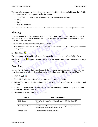There are also a number of right-click options available. Right-click a pool object on the left side of the window to choose any of the following options:

- Validated Marks the selected node validated or non-validated.
- Delete
- Edit
- <span id="page-17-2"></span>• Use As Template

The last three have the same functions as the tools of the same name (and icon) in the toolbar.

#### <span id="page-17-4"></span><span id="page-17-0"></span>*Filtering*

**Contains Example 15**<br> **Conserved Example 10**<br> **Conserved Example 10**<br> **Copyright** 1 and the Hierarchies tab, hierarchies containing the parameties<br>
for which you filter.<br> **Copyright 1 and the Parameter Definition Pool, N** Filtering is done from the Parameter Definition Pool, Node Pool, or View Pool dialog boxes. It lets you mark, in the Hierarchies tab, hierarchies containing the parameter definition, node or view for which you filter.

#### **To filter for a parameter definition, node or view:**

- 1. Select the object on the left side of the **Parameter Definition Pool**, **Node Pool**, or **View Pool** dialog box.
- 2. Click **Filter** .

If you look at the **Hierarchies** tab again, the hierarchies containing the filtered object have a

**example 12 and 12 and 12 and 12 and 12 and 12 and 12 and 12 and 12 and 12 and 12 and 12 and 12 and 12 and 12 and 12 and 12 and 12 and 12 and 12 and 12 and 12 and 12 and 12 and 12 and 12 and 12 and 12 and 12 and 12 and 12** check mark in the  $\bigoplus$  (Filter) column. The name of the filtered object appears in the Filter dropdown list.

#### <span id="page-17-3"></span><span id="page-17-1"></span>*Searching*

column. The name of the filtered object appending<br>object appending on the pools and hierarchies. So<br>epending on the dialog box from which you<br>log box, click the **Advanced** tab to begin. Use the **Find & Replace** dialog box to search the pools and hierarchies. Some options may be grayed out and unavailable, depending on the dialog box from which you selected **Search**.

- 1. Click **Search** .
- 2. In the **Find & Replace** dialog box, click the **Advanced** tab to begin.
- <span id="page-17-5"></span>dialog box to search the pools and hierarchies. Some options may be ble, depending on the dialog box from which you selected **Search**.<br> **e** dialog box, click the **Advanced** tab to begin.<br>
the drop-down list. Possible data 3. Select a **Data Type** in the drop-down list. Possible data types are String, Numeric, Date, and Integer.
- 4. In **Match** drop-down list, select either "**any of the following**" (Boolean OR) or "**all of the following**" (Boolean AND).
- 5. Select one or more of the following criteria.

| Criteria          | <b>Search Function</b>                                                                                          |
|-------------------|-----------------------------------------------------------------------------------------------------------------|
| <b>BOM Column</b> | TRUE/FALSE option. True if the node is a BOM (Bill of Materials)<br>node.                                       |
| Code Column Value | Searches hierarchies and parameter definition pools for parameters<br>containing the entered code column value. |
| Column Value      | Searches the values in the columns.                                                                             |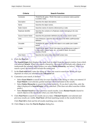| <b>Criteria</b>            | <b>Search Function</b>                                                                                                                                                                                                                                                                                                             |
|----------------------------|------------------------------------------------------------------------------------------------------------------------------------------------------------------------------------------------------------------------------------------------------------------------------------------------------------------------------------|
| Connector                  | TRUE/FALSE option. TRUE if the node is a connector node (a pointer<br>to another node).                                                                                                                                                                                                                                            |
| Description                | Searches the object descriptions.                                                                                                                                                                                                                                                                                                  |
| Name                       | Searches the object names.                                                                                                                                                                                                                                                                                                         |
| Node Column                | Searches names of columns referenced by a node.                                                                                                                                                                                                                                                                                    |
| Replicate Identifier       | Searches the contents of a Replicate column belonging to the view<br>pool object.                                                                                                                                                                                                                                                  |
| Source Column Name         | Searches the parameter definitions for the source column names.                                                                                                                                                                                                                                                                    |
| Units                      | Unit of Measure. Searches the units label in the MDE Leaf/Parameter<br>definition.                                                                                                                                                                                                                                                 |
| Unusable                   | TRUE/FALSE option. TRUE if the object is not usable (see Usable<br>below).                                                                                                                                                                                                                                                         |
| Usable                     | TRUE/FALSE option. TRUE if the object has all references in place. If<br>a view name, column name, etc., is invalid or blank, the search<br>returns a FALSE.                                                                                                                                                                       |
| <b>View Name</b>           | Searches the name of the referenced context view.                                                                                                                                                                                                                                                                                  |
| Click the <b>Find</b> tab. | The SearchOrigin field displays the node, leaf, or object from the parent window from<br>you selected Search. When you search a hierarchy, the search will include only objects<br>underneath the selected object (unless you select Entire Hierarchy; see below). When<br>search a pool, the search will include the entire pool. |
|                            | In the Find what field, enter the string or value you want to search for. What you type<br>$\blacksquare$                                                                                                                                                                                                                          |

6. Click the **Find** tab.

splays the node, leaf, or object from the parent you search a hierarchy, the search will incl<br>oject (unless you select **Entire Hierarchy**; see<br>vill include the entire pool.<br>er the string or value you want to search for<br>cte The **SearchOrigin** field displays the node, leaf, or object from the parent window from which you selected **Search**. When you search a hierarchy, the search will include only objects at or underneath the selected object (unless you select **Entire Hierarchy**; see below). When you search a pool, the search will include the entire pool.

- 7. In the **Find what** field, enter the string or value you want to search for. What you type depends on what you selected in the **Advanced** tab.
- 8. Customize your search, if desired:
	- Select **Exact Match** to search only for exact matches to the string or value you entered. If **Exact Match** is not selected, partial matches will be included in the results.
- When you search a hierarchy, the search will include only objects at ed object (unless you select **Entire Hierarchy**; see below). When you cch will include the entire pool.<br> **L**, enter the string or value you want to searc • Select **Entire Hierarchy** to search the whole hierarchy. If you don't select this, only the object displayed in **SearchOrigin** will be searched. (This does not affect searches within pools.)
	- Select **Restart Search** to clear previous search results. Leave **Restart Search** cleared to search objects in the results list when you click Find Next.
- 9. Click **Find Next** to search for results one at a time. If **Restart Search** is not selected and previous results are visible, **Find Next** will find matching results in the results list first.

Click **Find All** to find and list all results matching your criteria.

10. Click **Close** to close the **Find & Replace** dialog box.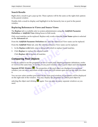#### <span id="page-19-5"></span>**Search Results**

Right-click a result to get a pop-up list. These options will be the same as the right-click options in the parent window.

Double-click a result to display and highlight it in the hierarchy tree or pool in the parent window.

#### <span id="page-19-4"></span><span id="page-19-3"></span>**Replacing References to Views and Source Views**

the **Replace** tab is available only to system administrators using the **Advertiment or Add/Edit View** dialog boxes in Edit mode.<br>
Only exact matches can be replaced. Replace only works when the **View I** in the **Advanced** t The **Replace** tab is available only to system administrators using the **Add/Edit Parameter Definition** or **Add/Edit View** dialog boxes in Edit mode.

Only exact matches can be replaced. Replace only works when the **View Name** option is selected on the **Advanced** tab.

From the **Add/Edit Parameter Definition** tab, only the referenced View name can be replaced.

From the **Add/Edit View** tab, only the referenced Source View name can be replaced.

- 1. In the **Replace with** field, enter a string with which to replace found matches.
- 2. Click **Replace** to replace the selected match.

<span id="page-19-2"></span><span id="page-19-1"></span>Click **Replace All** to replace all matches.

#### <span id="page-19-0"></span>*Comparing Pool Objects*

It may be useful to see the properties of two or more pool objects (parameter definitions, nodes or views) at the same time. To do this, in any pool window, select a pool object and click **Launch** 

**e with** field, enter a string with which to replace found<br>to replace the selected match.<br>**All to replace all matches.**<br>**Pool Objects**<br>o see the properties of two or more pool objects (paran<br>mme time. To do this, in any po **PECTS**<br>perties of two or more pool objects (parame<br>do this, in any pool window, select a pool of<br>. The properties of the pool object are displa<br>nere on the screen and will remain open and<br>pool object in the main pool wind **a**. To do this, in any pool window, select a pool object and click **Laun**  $\mathbf{r} \equiv 0$ . The properties of the pool object are displayed in a separate symber on the screen and will remain open and on top until you clear p **Separate HTML Window**  $\equiv$ **.** The properties of the pool object are displayed in a separate window you can move anywhere on the screen and will remain open and on top until you close it.

You can now select another pool object in the main pool window; its properties will be displayed on the right side of the window. You may display the properties of a third pool object by

selecting the object and clicking  $\blacksquare$  again. You can open as many separate windows as you need.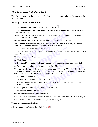#### <span id="page-20-8"></span><span id="page-20-0"></span>*The Parameter Definition Pool*

To make any changes to the parameter definition pool, you must click **Edit** at the bottom of the window to enter Edit mode.

#### <span id="page-20-2"></span><span id="page-20-1"></span>**Adding a Parameter Definition**

- 1. In the **Parameter Definition Pool** window, click **New**  $\Box$ .
- <span id="page-20-6"></span>2. In the **Add Parameter Definition** dialog box, enter a **Name** and **Description** for the new parameter definition.
- In the **Add Parameter Definition** dialog box, enter a **Name** and **Desc**<br>parameter definition.<br>Select a **Default View**. (These views are from the View pool.) This vie<br>populate the source and code columns.<br>Select a **Source C** 3. Select a **Default View**. (These views are from the View pool.) This view will be used to populate the source and code columns.
- 4. Select a **Source Column**. The source column contains the parameter data.
- 5. If the **Column Type** is numeric, you can also select a **Unit** (unit of measure) and enter a **Number of Decimals** (how many decimals will be displayed).
- 6. Edit the **Code Columns** values as needed.

The code columns listed are determined by the Default View. Each view has a defined set of code columns.

#### **To add a value to a code column:**

- a. Click **Add**.
- b. In the **Add Code Values** dialog box, enter a code value for each code column listed.
- c. When you're finished adding code values, click **OK**.

<span id="page-20-7"></span><span id="page-20-4"></span><span id="page-20-3"></span>**Columns** values as needed.<br>
mns listed are determined by the Default View. Each v<br> **e to a code column:**<br> **d Code Values** dialog box, enter a code value for each of<br>
i're finished adding code values, click **OK**.<br>
Select a **es** dialog box, enter a code value for each co<br>adding code values, click **OK**.<br>ting row of code values and click **Use as Ter**<br>og box, pre-populated with the code values<br>de values as needed, then click **OK**.<br>**es:**<br>llues, t **Example 20** analog box, enter a code value for each code column issed.<br>
hed adding code values, click **OK**.<br>
existing row of code values and click **Use as Template**. This display<br>
dialog box, pre-populated with the code v You can also select an existing row of code values and click **Use as Template**. This displays the **Add Code Values** dialog box, pre-populated with the code values from the original row of code values. Edit the code values as needed, then click **OK**.

#### **To edit code column values:**

- a. Select a row of code values, then click **Edit**.
- b. In the **Add Code Values** dialog box, for each code column listed, you can edit the matching code value.
- c. When you're finished editing code values, click **OK**.

#### **To delete code column values:**

Select a row of code values, then click **Delete**.

7. Click **OK** to save any changes you made and close the **Add Parameter Definition** dialog box. Click **Cancel** to close the dialog box and ignore any changes.

#### <span id="page-20-5"></span>**To delete a parameter definition:**

Select a parameter definition, then click **Delete**  $\blacktriangleright$ .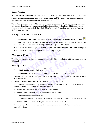#### *Use as Template*

Another way to create a new parameter definition is to build one based on an existing definition.

Select a parameter definition, then click **Use as Template** . The new parameter definition appears in the **Edit Parameter Definition** dialog box.

The system generates a new **ID** for the new parameter definition. You should change the name and description of the new parameter definition to avoid confusion later. Edit the rest of the parameter definition as needed, then click **OK**. (For more information, see *[Editing a Parameter](#page-21-0)  Definition* on page 3-8.)

#### <span id="page-21-5"></span><span id="page-21-0"></span>**Editing a Parameter Definition**

- 1. In the **Parameter Definition Pool** window, select a parameter definition, then click **Edit** .
- 2. In the **Edit Parameter Definition** dialog box, edit the fields and code columns as needed. For more information on these, see *Adding a Parameter Definition* on page 3-7.
- 3. Click **OK** to save any changes you made and close the **Edit Parameter Definition** dialog box.

<span id="page-21-6"></span>Click **Cancel** to close the dialog box and ignore any changes.

#### <span id="page-21-1"></span>*The Node Pool*

**Compare 2 Compare 3-8.)**<br> **Compare 3-8.**<br> **Compare 2-8.**<br> **Compare 2-8.**<br> **Compare 2-8.**<br> **Compare 2-8.**<br> **Compare 2-8.**<br> **Compare 2-8.**<br> **Compare 2-8.**<br> **Compare 2-8.**<br> **Compare 2-8.**<br> **Compare 2-8.**<br> **Compare 2-8.**<br> ave any changes you made and close the Edit Parameter to close the dialog box and ignore any changes.<br> **OOI**<br>
nges to the node pool, you must click Edit at the bottom<br> **e**<br> **e**<br> **e**<br> **ool** window, click New  $\Box$ . To make any changes to the node pool, you must click **Edit** at the bottom of the window to enter Edit mode.

#### <span id="page-21-2"></span>**Adding a Node**

- 1. In the **Node Pool** window, click **New** .
- <span id="page-21-7"></span>2. In the **Add Node** dialog box, enter a **Name** and **Description** for the new node.
- **Solution Solution Solution Solution Solution Solution Solution Solution Solution Solution Solution Solution Solution Solution Solution Solution Solution Solution Solution Solution Solution Solution Solution Solution Solut** 3. Select a **Default View**. (These views are from the View pool.) This view will be used to select conditional columns.
- <span id="page-21-4"></span>4. Select **This is a Conditional Node** to create a conditional node.

<span id="page-21-3"></span>**dow, click New <b>C**<br> **dow, click New C**<br> **dow, enter a Name and Description** for the new node.<br> **c** (These views are from the View pool.) This view will be used to selectional Node to create a conditional node.<br>
onal node, If you create a conditional node, you must define the columns to be conditioned and the values by which you want to restrict the columns.

- a. Under the **Columns** field, click **Add** to add a column.
- b. In the **Add Column** dialog box, select a column and click **OK**.

Add as many columns as you need.

- c. To add a value for each column, select the column then click **Add** under the **Values** field.
- d. In the **Add Code Values** dialog box, enter a value and click **OK**.

To remove a column or value, select the column or value then click **Remove** under the respective field.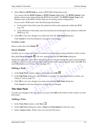5. Select **This is a BOM Node** to create a BOM (Bill of Materials) node.

<span id="page-22-4"></span>You cannot edit the **BOM Column** or **BOM Column Type** fields. The **BOM Column** is the global column name representing the BOM level number. The **BOM Column Type** is the database type of the BOM column. Both are set during system configuration.

If you create a BOM node, enter the following information:

- a. In the Initial Value field, enter the initial level this node represents within the BOM (e.g., 02).
- b. In the Minimum Value field, enter the minimum level this node may reference within the BOM (e.g., 01).
- 6. Click **OK** to save any changes you made and close the **Add Node** dialog box.

<span id="page-22-5"></span>Click **Cancel** to close the dialog box and ignore any changes.

#### **To delete a node:**

Select a node, then click **Delete**  $\mathbb{X}$ 

#### *Use as Template*

Another way to create a new node is to build one based on an existing definition. Select a node,

then click **Use as Template** . The new node appears in the **Edit Node** dialog box.

**EXECTS By EXECTS BY THE EXECTS BY THE SET AND THE SET AND THE SET AND THE SET AND CONFORM CONFORM CONFORM CONFORM CONFORM SCHEET A node:**<br> **Colect a node:**<br> **Colect a node:**<br> **Colect a node:**<br> **Colect a node:**<br> **Colect a** reate a new node is to build one based on an existing d<br> **Template** <sup>[23</sup>]. The new node appears in the **Edit Node**<br>
ates a new **ID** for the new node. You should change the<br>
co avoid confusion later. Edit the rest of the n **Not for** The system generates a new **ID** for the new node. You should change the name and description of the new node to avoid confusion later. Edit the rest of the node as needed, then click **OK**. (For more information, see *Editing a Node* on page 3-9.)

#### <span id="page-22-7"></span><span id="page-22-0"></span>**Editing a Node**

- 1. In the **Node Pool** window, select a node, then click **Edit**
- 2. In the **Edit Node** dialog box, edit the fields as needed. For more information on these, see *[Adding a Node](#page-21-2)* on page 3-8.
- 3. Click **OK** to save any changes you made and close the **Edit Node** dialog box.

<span id="page-22-8"></span>Click **Cancel** to close the dialog box and ignore any changes.

#### <span id="page-22-1"></span>*The View Pool*

iting a Node on page 3-9.)<br>dow, select a node, then click **Edit 3.1**<br>og box, edit the fields as needed. For more information on these, see<br>3-8.<br>changes you made and close the **Edit Node** dialog box.<br>the dialog box and igno To make any changes to the view pool, you must click **Edit** at the bottom of the window to enter Edit mode.

#### <span id="page-22-3"></span><span id="page-22-2"></span>**Adding a View**

- 1. In the **View Pool** window, click **New**  $\Box$ .
- 2. In the **Add View** dialog box, enter a **Name** and **Description** for the new view.
- <span id="page-22-9"></span><span id="page-22-6"></span>3. Select a **Source View**. (These views are from the ECI pool.)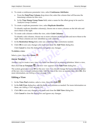- <span id="page-23-3"></span><span id="page-23-1"></span>4. To create a continuous parameter view, select **Continuous Attributes**:
	- a. From the **Date/Time Column** drop-down list, select the column that will become the timestamp column for this view.
	- b. In the **Time Stamp Group Name** field, enter a name for the offset group to be used in Analysis Group Creation.
- 5. To create a replicate parameter view, select **Replicate Identifier**.

<span id="page-23-9"></span><span id="page-23-7"></span><span id="page-23-2"></span>To identify replicate identifier column(s), choose one or more columns on the left side and move them to the right.

6. To create code columns within the view, select **Code Columns**.

From the right.<br>
To create code columns within the view, select **Code Columns.**<br>
To identify code columns, choose one or more columns on the left side right. These columns are now identified as code columns.<br>
In the **Restr** To identify code columns, choose one or more columns on the left side and move them to the right. These columns are now identified as code columns.

- <span id="page-23-8"></span>7. In the **Restriction String** field, enter any additional SQL restrictions needed.
- 8. Click **OK** to save any changes you made and close the **Add View** dialog box.

<span id="page-23-4"></span>Click **Cancel** to close the dialog box and ignore any changes.

#### **To delete a view:**

Select a view, then click **Delete**  $\lambda$ .

#### *Use as Template*

Another way to create a new view is to build one based on an existing definition. Select a view,

then click **Use as Template** . The new view appears in the **Edit View** dialog box.

to close the dialog box and ignore any changes.<br> **example 12**<br> **example 4**<br> **example 4**<br> **example 4**<br> **example 4**<br> **example 4**<br> **example 4**<br> **example 4**<br> **example 4**<br> **example 4**<br> **example 4**<br> **example 4**<br> **example 4**<br> **ex** view is to build one based on an existing def<br>**E**. The new view appears in the **Edit View** d<br>**D** for the new view. You should change the usion later. Edit the rest of the view as neede<br>a View on page 3-10.) te **E**. The new view appears in the **Edit View** dialog box.<br>
ew **ID** for the new view. You should change the name and description<br>
fusion later. Edit the rest of the view as needed, then click **OK**. (If<br>
iting a View on pa The system generates a new **ID** for the new view. You should change the name and description of the new view to avoid confusion later. Edit the rest of the view as needed, then click **OK**. (For more information, see *Editing a View* on page 3-10.)

#### <span id="page-23-5"></span><span id="page-23-0"></span>**Editing a View**

- 1. In the **View Pool** window, select a view, then click **Edit** .
- 2. In the **Edit View** dialog box, edit the fields and columns as needed. For more information on these, see *Adding a View* on page 3-9.
- 3. Click **OK** to save any changes you made and close the **Edit View** dialog box.

<span id="page-23-6"></span>Click **Cancel** to close the dialog box and ignore any changes.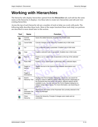### <span id="page-24-2"></span><span id="page-24-0"></span>**Working with Hierarchies**

The hierarchy tabs display hierarchies opened from the **Hierarchies** tab; each tab has the same name as the hierarchy it displays. Use these tabs to create new hierarchies and edit and view existing hierarchies.

<span id="page-24-1"></span>Across the top of each hierarchy tab are a number of tools to help you work with pools. The following table describes these tools. Most of the major functions these tools help you perform are described in more detail later in this section.

<span id="page-24-4"></span><span id="page-24-3"></span>

| <b>Tool</b> | <b>Name</b>                                                    | <b>Function</b>                                                                                                                                                                                                                                                                                                                                                                 |
|-------------|----------------------------------------------------------------|---------------------------------------------------------------------------------------------------------------------------------------------------------------------------------------------------------------------------------------------------------------------------------------------------------------------------------------------------------------------------------|
| ą           | Commit<br>Hierarchy                                            | Saves the edited hierarchy. Enabled only in Edit mode.                                                                                                                                                                                                                                                                                                                          |
| 串           | <b>Cancel Edits</b>                                            | Cancels changes to the hierarchy. Enabled only in Edit mode.                                                                                                                                                                                                                                                                                                                    |
| öв          | Cut                                                            | Cuts a selected node or parameter. Enabled only in Edit mode.                                                                                                                                                                                                                                                                                                                   |
| 暭           | Copy                                                           | Copies a selected node or parameter. Enabled only in Edit mode.                                                                                                                                                                                                                                                                                                                 |
| 窗           | Paste In                                                       | Pastes a cut or copied node or parameter at the top of the selected<br>node.                                                                                                                                                                                                                                                                                                    |
| e           | <b>Paste After</b>                                             | Pastes a cut or copied node or parameter after a selected object.                                                                                                                                                                                                                                                                                                               |
| 효           | Toggle to<br><b>Names</b><br>-or-<br>Toggle to<br>Descriptions | Toggles the text in the hierarchy tree between descriptions and<br>names.                                                                                                                                                                                                                                                                                                       |
| q           | Search<br><b>Hierarchy Tree</b>                                | Displays the Find & Replace dialog box, where you can search for<br>strings or values in different objects within Discoverant. Depending on<br>the functional area from which you search, different options will be<br>available to you. You can also use the Find & Replace dialog box to<br>replace certain object names. For more information, see Searching on<br>page 3-4. |
| 仚           | View<br>Parameter Set<br>Description                           | Displays the description of the Parameter Set currently selected in the<br>Hierarchy Manager.                                                                                                                                                                                                                                                                                   |
|             | Close<br>Hierarchy                                             | Closes the hierarchy. Prompts if changes were made and not<br>committed.                                                                                                                                                                                                                                                                                                        |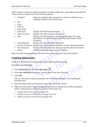There are also a number of right-click options available. Right-click a pool object on the left side of the window to choose any of the following options:

- <span id="page-25-2"></span>Validated Marks the selected node, parameter or sub-tree validated or nonvalidated. Enabled only in Edit mode.
- Cut
- Copy
- Paste In
- Paste After
- Add Node **Displays the Add Node dialog box.**
- Add Connector Displays the Add Connector dialog box.
- Add Node Displays the Add Node dialog box.<br>
 Add Connector Displays the Add Connector dialog box.<br>
 Edit Displays the Edit dialog box for the selected<br>
information, see Edit Parameter, Edit Hierard<br>
connector.<br>
 Add P • Edit Displays the Edit dialog box for the selected object. For more information, see Edit Parameter, Edit Hierarchy Node, or Edit Connector.
	- Add Parameter Displays the Add Parameter dialog box.
	- Test the Parameter Displays the Test Parameter dialog box for the selected parameter.
	- Test Connector Displays the Test Connector dialog box for the selected connector.
	- ector Displays the Test Connector dialog box for t<br>Deletes the selected node (and any children)<br>me functions as the tools of the same name (and icon)<br>**erarchies**<br>chies by adding nodes and parameters from the pools<br>**ierarch** • Delete Deletes the selected node (and any children).

Many have the same functions as the tools of the same name (and icon) in the toolbar.

#### <span id="page-25-1"></span><span id="page-25-0"></span>*Creating Hierarchies*

Create new hierarchies by adding nodes and parameters from the pools.

**To create a new hierarchy:**

- 1. In the **Hierarchy** tab, click **New Hierarchy** .
- 2. In the **New Hierarchy** dialog box, enter a name for the new hierarchy.
- 3. Click **OK**.

**EXECUTE:**<br> **New Hierarchy <b>P**<br> **Notify the Section Analytical Section 1.5 and 2.6 and 3.8 and the rew hierarchy.<br>
<br>
Red as another tab in Hierarchy Manager. Sta** The new hierarchy is opened as another tab in Hierarchy Manager. Start building the hierarchy here.

- 4. Select the blank node in the hierarchy tree on the left of the window.
- **y:**<br>
vidialog box, enter a name for the new hierarchy.<br>
dialog box, enter a name for the new hierarchy.<br>
opened as another tab in Hierarchy Manager. Start building the<br>
in the hierarchy tree on the left of the window.<br>
to 5. Right-click this node to begin building the hierarchy by adding more nodes, parameters (under nodes) and/or connectors. For more information, see:
	- *Adding Nodes to Hierarchies* on page 3-13,
	- *Adding Parameters to Hierarchies* on page 3-14, and
	- *[Adding Connectors to Hierarchies](#page-28-0)* on page 3-15.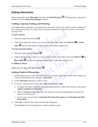#### <span id="page-26-5"></span><span id="page-26-0"></span>*Editing Hierarchies*

Select a hierarchy in the **Hierarchy** tab, then click **Edit Hierarchy** . The hierarchy is opened as another tab in the **Hierarchy Manager** window.

#### **Cutting, Copying, Pasting, and Deleting**

Any object (node, parameter or connector) in a hierarchy can be cut, copied, pasted or deleted. If you want an exact copy of a node, add a connector instead (see *[Adding Connectors to Hierarchies](#page-28-0)* on page 3-15).

#### **To move objects:**

- 1. Select the object and click **Cut**  $\Delta$ .
- 2. Click in the hierarchy where you want to move the object, then click **Paste In a** or **Paste**

After **B** (see the descriptions of these tools in the table on page 3-11).

#### **To copy and paste objects:**

- 1. Select the object and click  $Copy \$ .
- ou want an exact copy of a node, add a connector instead (see *Adding* C in page 3-15).<br> **Co move objects:**<br> **Copyrighted**<br> **Consider the object and click Cut**  $\frac{1}{2}$ **.<br>
<b>Copyrighted** (see the descriptions of these tool e objects:<br>
ect and click Copy <u>a</u><br>
erarchy where you want to paste a copy of the object, t<br>
s (see the descriptions of these tools in the table on page<br>
ect:<br>
ject and select Delete 2. Click in the hierarchy where you want to paste a copy of the object, then click **Paste In E** or **Paste After E** (see the descriptions of these tools in the table on [page 3-11](#page-24-1)).

#### <span id="page-26-6"></span><span id="page-26-4"></span>**To delete an object:**

Right-click the object and select **Delete** .

#### <span id="page-26-2"></span><span id="page-26-1"></span>**Adding Nodes to Hierarchies**

- **Notify these fools in the table on page**<br>
ct Delete<br> **Notify the SEC And Note**<br>
e left side of the hierarchy tab, right-click a r<br>
and select Add Node. Select Delete **M**<br> **example 10**<br> **distribution**<br> **distribution**<br> **distribution**<br> **distribution**<br> **distribution**<br> **distribution**<br> **distribution**<br> **distribution**<br> **distribution**<br> **distribution**<br> **distribution**<br> **distribution** 1. In the hierarchy tree on the left side of the hierarchy tab, right-click a node under which you want to add another node and select **Add Node**.
- 2. In the **Add Node** dialog box, select a node.
- <span id="page-26-8"></span><span id="page-26-7"></span><span id="page-26-3"></span>3. To create a data universe node, select **This is a Universe Node**.
	- a. To apply the node's conditions (if any) to all parameters within the Universe node, select **Apply Condition to Parameters**.
	- b. Select a **Universe View** (from the View pool) to retrieve the parameter set names and dates for the Universe.
	- c. If you want, you can enter a **Parameter Set Name Description** and **Parameter Set Date Description**.
- 4. Click **OK** to add the new node and close the dialog box.

Click **Cancel** to close the dialog box without adding a node.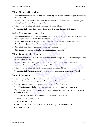#### <span id="page-27-5"></span>**Editing Nodes in Hierarchies**

- 1. In the hierarchy tree on the left side of the hierarchy tab, right-click the node you want to edit and select **Edit**.
- 2. In the **Edit Node** dialog box, edit the fields as needed. For more information on these, [see](#page-26-1)  *[Adding Nodes to Hierarchies](#page-26-1)* on page 3-13.
- 3. When you are finished, click **OK**. The node will be modified.

<span id="page-27-4"></span>To close the **Edit Node** dialog box without applying your changes, click **Cancel**.

#### <span id="page-27-0"></span>**Adding Parameters to Hierarchies**

- 1. In the hierarchy tree on the left side of the window, right-click a node under which you want to add a parameter and select **Add Parameter**.
- In the hierarchy tree on the left side of the window, right-click a node<br>to add a parameters to Hierarchies<br>to the window, right-click a node<br>to add a parameter and select Add Parameter.<br>In the Add Parameter dialog box, se 2. In the **Add Parameter** dialog box, select a **Parameter Definition** (from the Parameter Definition pool) and a **View** (from the View pool) for the new parameter.
- 3. Click **OK** to add the new parameter and close the dialog box.

<span id="page-27-9"></span><span id="page-27-7"></span><span id="page-27-6"></span>Click **Cancel** to close the dialog box without adding a parameter.

#### **Editing Parameters in Hierarchies**

- to close the dialog box without adding a parameter.<br> **eters in Hierarchies**<br>
my tree on the left side of the hierarchy tab, right-click t<br>
lect **Edit**.<br> **rameter** dialog box, edit the fields as needed. For more<br> *rameters* 1. In the hierarchy tree on the left side of the hierarchy tab, right-click the parameter you want to edit and select **Edit**.
- og box, edit the fields as needed. For more in<br> *ierarchies* on page 3-14.<br>
ck **OK**. The parameter will be modified.<br> **PEC dialog box without applying your changes**<br>
ers you've created, you should test the parameters 2. In the **Edit Parameter** dialog box, edit the fields as needed. For more information on these, see *Adding Parameters to Hierarchies* on page 3-14.
- 3. When you are finished, click **OK**. The parameter will be modified.

<span id="page-27-8"></span>To close the **Edit Parameter** dialog box without applying your changes, click **Cancel**.

#### <span id="page-27-1"></span>**Testing Parameters**

to Hierarchies on page 3-14.<br>
d, click **OK**. The parameter will be modified.<br> **dust CACC** The parameter will be modified.<br> **dust CACC** The parameter dialog box without applying your changes, click **Cancel.**<br>
ameters you've To test the validity of parameters you've created, you should test the parameter. This allows you to view how the parameter will appear in Discoverant's functional areas.

- 1. Right-click the parameter you want to test and select **Test Parameter**.
- <span id="page-27-3"></span>2. In the **Test Parameter** dialog box, enter or select the parameter set you want to test.

If you know the name of the parameter set, enter it in the **Parameter Set Name** field, then continue with [Step 3.](#page-27-2)

If you want to search for parameter sets, click **Choose Parameter Sets**.

- a. Enter the start and end dates.
- b. Click **Retrieve List**.
- c. From the list of parameter sets retrieved, select up to 10 parameter sets.
- <span id="page-27-2"></span>3. Click **Execute Test**.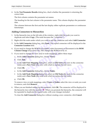4. In the **Test Parameter Results** dialog box, check whether the parameter is returning the correct data.

The first column contains the parameter set names.

The heading for the last column is the parameter name. This column displays the parameter data.

<span id="page-28-1"></span>The columns between the first and the last display either replicate parameters or continuous timestamps.

#### <span id="page-28-0"></span>**Adding Connectors to Hierarchies**

- 1. In the hierarchy tree on the left side of the window, right-click the node you want to duplicate and select **Copy**. (The node becomes the "connectee.")
- 2. Right-click the node under which you want to add the connectee and select **Add Connector**.
- <span id="page-28-2"></span>3. In the **Add Connector** dialog box, click **Paste**. The copied connectee will be displayed in the **Connectee Location** field.
- **Connectors to Hierarchies**<br>
In the hierarchy tree on the left side of the window, right-click the not<br>
duplicate and select Copy. (The node becomes the "connectee.")<br>
Right-click the node under which you want to add the c change the BOM level number, select Increment or De<br>**1920** drop-down list. This changes the BOM level by ±1.<br>
change the view and/or node mappings, follow these<br> **1 Connector** dialog box, choose **Views**.<br> **1 View Mapping** 4. If you need to change the BOM level number, select Increment or Decrement in the **BOM Column Change** drop-down list. This changes the BOM level by ±1.
- <span id="page-28-4"></span>5. If you need to change the view and/or node mappings, follow these steps:
	- a. In the **Add Connector** dialog box, choose **Views**.
	- b. Click **Add**.
	- **ping** dialog box, select an **Old View** (the view of the view with which to replace the old view dialog box, choose **Nodes**.<br> **ping** dialog box, select an **Old Node** (the note (the node with which to replace the old note) c. In the **Add View Mapping** dialog box, select an **Old View** (the view in the connectee node) and a **New View** (the view with which to replace the old view).
	- d. Click **OK**.
	- e. In the **Add Connector** dialog box, choose **Nodes**.
	- f. In the **Add Node Mapping** dialog box, select an **Old Node** (the node in the connectee node) and a **New Node** (the node with which to replace the old node).
	- g. Click **OK**.

<span id="page-28-3"></span>To remove view or node mappings, select **Views** or **Nodes**, select the view or node you want to remove, and click **Remove**.

**View** (the view with which to replace the old view).<br> **distribution** with which to replace the old view).<br> **distribution** dialog box, choose **Nodes**.<br> **Mapping** dialog box, select an **Old Node** (the node in the connectee<br> 6. When you are finished setting up the connector, click **OK**. The connector will be displayed in the hierarchy tree with this symbol:  $\Phi$ . When you promote the hierarchy, the connector will be expanded to duplicate the copied node, with your changes included.

To close the **Add Connector** dialog box without creating a new connector, click **Cancel**.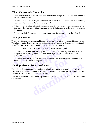#### <span id="page-29-1"></span>**Editing Connectors in Hierarchies**

- 1. In the hierarchy tree on the left side of the hierarchy tab, right-click the connector you want to edit and select **Edit**.
- 2. In the **Edit Connector** dialog box, edit the fields as needed. For more information on these, see *[Adding Connectors to Hierarchies](#page-28-0)* on page 3-15.
- 3. When you are finished, click **OK**. The connector will be modified. When you promote the hierarchy, the connector will be expanded to duplicate the copied node, with your changes included.

<span id="page-29-2"></span>To close the **Edit Connector** dialog box without applying your changes, click **Cancel**.

#### **Testing Connectors**

To see how Discoverant will expand the connector you've created, you can test the connector. This allows you to view how the expanded connector will appear in Discoverant's functional areas. You can also test parameters while you're testing the connector.

- 1. Right-click the connector you want to test and select **Test Connector**.
- included.<br>
To close the **Edit [C](#page-27-3)onnector** dialog box without applying your chang<br> **Connectors**<br>
Sesting **Connectors**<br>
Sesting Connectors<br>
Sesting Connectors<br>
Sesting Connectors<br>
Sesting the connector you're reated, you co<br> Example 2011 want to test and select Test Connector<br> **example 2012** and select of the hierarchy<br>
t of the expanded connector and the properties of the sex<br>
meter, right-click the parameter and select Test Parameter<br> *examp* 2. The **Test Connector** dialog box displays the portion of the hierarchy tree directly related to the placement of the expanded connector and the properties of the selected node or parameter.
- 3. To test a parameter, right-click the parameter and select **Test Parameter**. Continue with Step 2 of *Testing Parameters* on page 3-14.

#### <span id="page-29-4"></span><span id="page-29-0"></span>*Marking Hierarchies as Validated*

Exercick the parameter and select **Test Parameter**<br>
s on page 3-14.<br> **as Validated**<br>
as validated, right-click the node or parameter bode, Discoverant prompts you whether you<br>
r the node as well.<br>
node or parameter as vali To mark a node or parameter as validated, right-click the node or parameter and select **Validated**. If you selected a node, Discoverant prompts you whether you want to validate just the node or the sub-tree under the node as well.

Repeat this step to un-mark a node or parameter as validated (to mark the node or parameter as non-validated).

<span id="page-29-5"></span><span id="page-29-3"></span> $HST^{1}$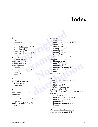## **Index**

#### **A**

<span id="page-30-0"></span>c[o](#page-7-3)nnecto[r](#page-21-3)  $3-15$ <br>
connector  $3-15$ <br>
hierarch[y](#page-27-4)  $3-12$ <br>
node (to [h](#page-28-1)ierarchy)  $3-13$ <br> [p](#page-22-3)arameter  $3-14$ <br>
parameter definition  $3-7$ <br>
parameter definition  $3-7$ <br>
parameter definition  $3-7$ <br>
parameter definition  $3-7$ <br>
denting adding connector *3–15* hierarchy *3–12* node (to hierarchy) *3–13* node (to pool) *3–8* parameter *3–14* parameter definition *3–7* view *3–9* Administration domain *1–1* logging on *2–1* Aegis website *1–3* AGStore Attic *2–5* analysis groups *2–5* manifest *2–5* attributes, continuous *3–10* auditing *2–6* report *[2–6](#page-12-1)*, *2–7*

#### **B**

BOM (Bill of Materials) connector *3–15* node *3–9*

#### **C**

code columns *[3–7](#page-20-3)*, *3–10* comparing nodes *[3–6](#page-19-1)* parameter definitions *[3–6](#page-19-1)* views *[3–6](#page-19-1)* conditional node *[3–8](#page-21-4)*, *[3–13](#page-26-3)* definition *[1–1](#page-4-5)*

**[e](#page-12-0)**<br>  $\begin{array}{r} 3-3-8 \ \text{14} \ \text{Finition } 3-7 \ \text{mapping a node } 3 \ \text{mapping a view } 3 \ \text{testing } 3-16 \ \text{continuous attributes} \ \text{creating} \ \text{hierarchy } 3-12 \ \text{node } 3-8 \ \text{parameter } 3-14 \ \text{parameter } 4 \text{finition} \end{array}$ p[r](#page-25-1)ovide the transfer definition<br>
the 3-8<br>
parameter 3-14<br>
parameter definition<br>
user account 2-1<br>
view 3-9<br>
customer support 1-3<br>
D connector adding *3–15* BOM (Bill of Materials) *[3–15](#page-28-2)* definition *1–2* deleting *3–13* editing *3–16* mapping a node *[3–15](#page-28-3)* mapping a view *[3–15](#page-28-4)* testing *3–16* continuous attributes *[3–10](#page-23-1)* creating hierarchy *3–12* node *3–8* parameter *3–14* parameter definition *3–7* user account *2–1* view *3–9* customer support *1–3*

#### **D**

parameter 3-14<br>
parameter [d](#page-23-2)efini[t](#page-22-3)ion 3-7<[b](#page-10-1)r> [u](#page-6-3)ser accou[n](#page-27-4)t 2-1<br>
view 3-9<br>
customer support 1-3<br> **D**<br>
database connection pools 2-3<br>
ECI pool 2-4<br>
MDE Pool 2-4<br>
date/time column 3-10<br>
decimal d[is](#page-22-4)play 3-7<br>
DefaultDeploymentBundl database connection pools *2–3* ECI pool *2–4* MDE Pool *2–4* date/time column *3–10* decimal display *3–7* DefaultDeploymentBundle.properties *2–3* deleting connector *3–13* node (from hierarchy) *[3–13](#page-26-4)* node (from pool) *[3–9](#page-22-5)* parameter *[3–13](#page-26-4)* parameter definition *[3–7](#page-20-5)* user account *[2–2](#page-8-3)* view *[3–10](#page-23-4)* DeploymentBundle.properties *[2–3](#page-9-6)* disabled (user account) *[2–2](#page-8-4)*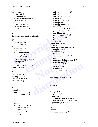Discoverant features *[1–1](#page-4-6)* navigation *[1–1](#page-4-7)* software conventions *[1–1](#page-4-8)* User Guide *[1–1](#page-4-9)* domains *[2–2](#page-8-5)* Administration *[1–1](#page-4-4)*, *[2–1](#page-7-3)* Hierarchy Admin *[1–1](#page-4-10)*, *[3–1](#page-14-3)* registering user *2–1*

#### **E**

Fracting ascribing and the parameter view 3-<br>
EQ (Enterworks [C](#page-23-5)ontent Integ[r](#page-29-1)ator)<br>
server  $I-2$ ,  $2-4$ <br>
CI pool<br>
refres[h](#page-10-3)ing  $2-4$ <br>
connector  $3-4$ <br>
connector  $3-7$ <br> [d](#page-24-3)iting<br>
connector  $3-7$ <br>
connector  $3-7$ <br>
in[te](#page-24-4)grations and ECI (Enterworks Content Integrator) server *1–2*, *2–4* ECI pool refreshing *2–4* source view *3–9* editing connector *3–16* hierarchy *3–13* node (in hierarchy) *3–14* node (in pool) *3–9* parameter *3–14* parameter definition *3–8* user account *2–2* view *3–10* e-mail address (user) *2–1*, *2–2* enabled (user account) *2–2*

#### **F**

features, software *1–1* filtering *[3–2](#page-15-0)*, *3–4* Find & Replace *3–4* full name (user) *2–2* functional areas *1–1*

#### **G**

generating auditing reports *2–6* logging reports *2–6*

#### **H**

help *[1–3](#page-6-3)* online *[1–3](#page-6-2)* hierarchies *[3–11](#page-24-2) to [3–16](#page-29-3)* adding connector *[3–15](#page-28-1)* adding node *[3–13](#page-26-2)* adding parameters *[3–14](#page-27-4)* creating *[3–12](#page-25-1)*

Friendal Contract Contract Contract Contract Contract Contract Contract Contract Contract Contract Contract Contract Contract Contract Contract Contract Contract Contract Contract Contract Contract Contract Contract Contra pa[r](#page-10-6)ameter definition<br>
reloading pools 2–4<br>
source pool 2–4<br>
view pool 2–4<br>
window 3–1<br>
html report format 2–6<br>
importing a hierarchy 2 **[dis](#page-12-1)[t](#page-4-11)r[i](#page-9-7)bu[t](#page-11-5)[io](#page-14-5)[n](#page-10-8)** deleting connector *[3–13](#page-26-6)* deleting node *[3–13](#page-26-6)* deleting parameter *[3–13](#page-26-6)* editing *[3–13](#page-26-5)* editing connector *[3–16](#page-29-1)* editing node *[3–14](#page-27-5)* editing parameter *[3–14](#page-27-6)* importing *[2–5](#page-11-5)* marking as validated *[3–16](#page-29-4)* parameter view *[3–14](#page-27-7)* searching *3–11* testing connector *[3–16](#page-29-2)* testing parameter *[3–14](#page-27-8)* tools *3–11* validating *3–12* Hierarchies tab *3–1* tools *3–2* Hierarchy Admin domain *[1–1](#page-4-10)* logging on *3–1* hierarchy manager Hierarchies tab *[3–1](#page-14-4)* importing a hierarchy *[2–5](#page-11-5)* node pool *2–5* parameter definition pool *[2–4](#page-10-5)* reloading pools *2–4* source pool *2–4* view pool *2–4* window *3–1* .html report format *2–6*, *2–7*

importing a hierarchy *2–5*

#### **K**

**I**

keys *2–3*

#### **L**

logging *2–5* report *2–6* logging on Administration domain *[2–1](#page-7-7)* Hierarchy Admin domain *[3–1](#page-14-3)* logon name (user) *[2–2](#page-8-9)*

#### **M**

manifest *[2–5](#page-11-4)* MDE pool, refreshing *[2–4](#page-10-9)*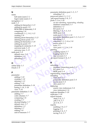#### **N**

**EPo***[Co](#page-11-6)***<b>***P*<br>
com[p](#page-21-7)a[r](#page-26-7)[i](#page-28-3)n[g](#page-22-7) 3–6<br>
comparing 3–6<br>
con[d](#page-10-9)itional  $I$ –1, 3–8, 3–13<br>
conditional  $I$ –1, 3–8, 3–13<br>
deleting (from hierarch[y](#page-21-6)) 3–13<br>
d[e](#page-16-3)leting (in pool) 3–9<br>
editing (in pool) 3–9<br>
editing (in pool) 3–9<br>
editing name full name (user) *[2–1](#page-7-8)* logon name (user) *[2–1](#page-7-9)* navigation *[1–1](#page-4-7)* node *[1–2](#page-5-5)* adding (to hierarchy) *[3–13](#page-26-2)* adding (to pool) *[3–8](#page-21-3)* BOM (Bill of Materials) *3–9* comparing *3–6* conditional *1–1*, *3–8*, *3–13* creating *3–8* deleting (from hierarchy) *3–13* deleting (from pool) *3–9* editing (in hierarchy) *3–14* editing (in pool) *3–9* mapping in connector *3–15* universe node *3–13* universe view *3–13* node pool *3–8* default view *3–8* definition *1–2* reloading *2–5*

#### **O**

online help *1–3* Oracle *2–4*

#### **P**

parameter adding *3–14* creating *3–14* deleting *3–13* editing *3–14* parameter definition *3–14* testing *[3–14](#page-27-8)*, *3–16* view *3–14* parameter definition *3–14* adding *3–7* code columns *3–7* comparing *[3–6](#page-19-1)* creating *[3–7](#page-20-2)* decimal display *[3–7](#page-20-4)* default view *[3–7](#page-20-6)* definition *[1–2](#page-5-6)* deleting *[3–7](#page-20-5)* editing *[3–8](#page-21-5)* unit of measure *[3–7](#page-20-7)*

[e](#page-10-10)riting<br>  $\begin{bmatrix}\n3-13 \\
-8\n\end{bmatrix}$ <br>  $\begin{bmatrix}\n3-8 \\
-8\n\end{bmatrix}$ <br>  $\begin{bmatrix}\n3-8 \\
-8\n\end{bmatrix}$ <br>  $\begin{bmatrix}\n3-8 \\
-8\n\end{bmatrix}$ <br>  $\begin{bmatrix}\n3-8 \\
-8\n\end{bmatrix}$ <br>  $\begin{bmatrix}\n3-8 \\
-8\n\end{bmatrix}$ <br>  $\begin{bmatrix}\n3-8 \\
-8\n\end{bmatrix}$ <br>  $\begin{bmatrix}\n3-8 \\
-8\n\end{bmatrix}$ <br>  $\begin{bmatrix}\n3-8 \\
-8\n\end{b$ parameter definition pool *[1–2](#page-5-6)*, *[3–7](#page-20-8)* reloading *[2–4](#page-10-5)* password (user) *[2–1](#page-7-10)*, *[2–2](#page-8-10)* .pdf report format *[2–6](#page-12-4)*, *[2–7](#page-13-2)* pools *[3–3](#page-16-1) to [3–10](#page-23-6) [see also refreshing, regenerating, reloading](#page-5-7)* database connection *[2–3](#page-9-4)* definition *[1–2](#page-5-7)* ECI pool *[2–4](#page-10-4)* filtering *3–2*, *3–3*, *[3–4](#page-17-4)* MDE pool *2–4* node pool *1–2*, *[2–5](#page-11-6)*, *[3–8](#page-21-6)* parameter definition pool *[1–2](#page-5-6)*, *[2–4](#page-10-5)*, *[3–7](#page-20-8)* refreshing *2–3* searching *3–3*, *3–4 to [3–6](#page-19-2)* source pool *1–3* tools *3–3* view pool *1–2*, *2–4*, *[3–9](#page-22-8)* printing auditing report *[2–7](#page-13-3)* logging report *2–6* user account *2–2* .ps report format *2–6*, *[2–7](#page-13-4)*

#### **R**

**R**<br>
refreshing<br>
database connection<br>
ECI pool 2–4<br>
MDE pool 2–4<br>
regenerating, source pool<br>
reloading<br>
node pool 2–5<br>
parameter definition refreshing<br>
da[t](#page-10-9)a[b](#page-10-8)ase connection pools 2–3<br>
ECI pool 2–4<br>
MDE pool 2–4<br>
regenerating, so[u](#page-11-6)rce pool 2–4<br>
reloading<br>
node pool 2–5<br>
parameter definit[io](#page-10-4)[n](#page-9-4) pool 2–4<br>
source pool 2–4<br>
view pool 2–4<br>
replacing<br>
source view (referen refreshing database connection pools *2–3* ECI pool *2–4* MDE pool *2–4* regenerating, source pool *2–4* reloading node pool *2–5* parameter definition pool *2–4* source pool *2–4* view pool *2–4* replacing source view (reference) *3–6* view (reference) *3–6* replicate identifier *3–10* replicates *3–10* report formats .html *[2–6](#page-12-3)*, *[2–7](#page-13-1)* .pdf *[2–6](#page-12-4)*, *[2–7](#page-13-2)* .ps *[2–6](#page-12-6)*, *[2–7](#page-13-4)* reports auditing *[2–6](#page-12-1)*, *[2–7](#page-13-0)* logging *[2–6](#page-12-2)* printing *[2–6](#page-12-5)*, *[2–7](#page-13-3)* saving *[2–6](#page-12-7)*, *[2–7](#page-13-5)*